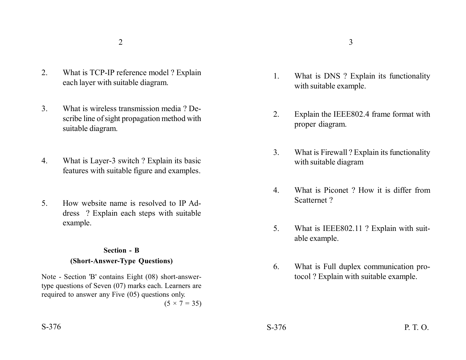- 2. What is TCP-IP reference model ? Explain each layer with suitable diagram.
- 3. What is wireless transmission media ? Describe line of sight propagation method with suitable diagram.
- 4. What is Layer-3 switch ? Explain its basic features with suitable figure and examples.
- 5. How website name is resolved to IP Address ? Explain each steps with suitable example.

## **Section - B (Short-Answer-Type Questions)**

Note - Section 'B' contains Eight (08) short-answertype questions of Seven (07) marks each. Learners are required to answer any Five (05) questions only.

 $(5 \times 7 = 35)$ 

- 1. What is DNS ? Explain its functionality with suitable example.
- 2. Explain the IEEE802.4 frame format with proper diagram.
- 3. What is Firewall ? Explain its functionality with suitable diagram
- 4. What is Piconet ? How it is differ from Scatternet ?
- 5. What is IEEE802.11 ? Explain with suitable example.
- 6. What is Full duplex communication protocol ? Explain with suitable example.